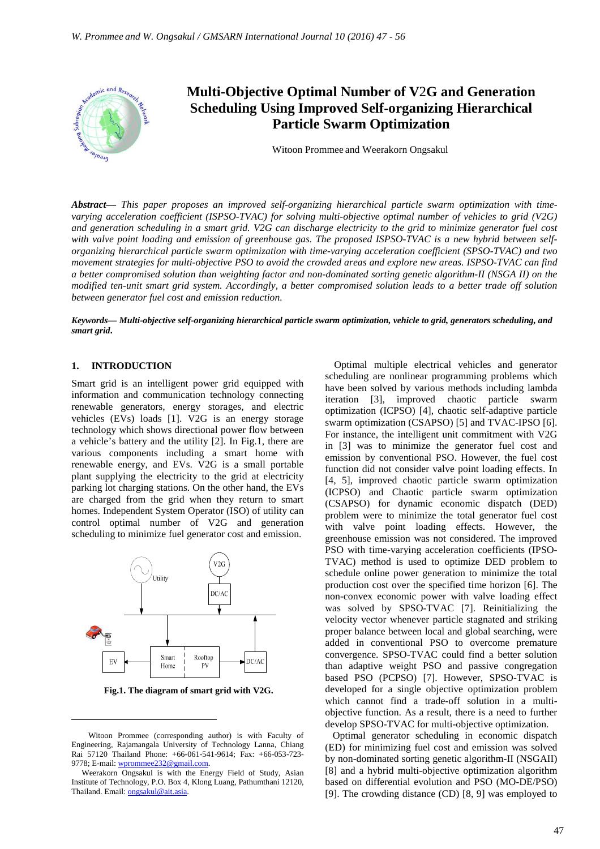

# **Multi-Objective Optimal Number of V**2**G and Generation Scheduling Using Improved Self-organizing Hierarchical Particle Swarm Optimization**

Witoon Prommee and Weerakorn Ongsakul

*Abstract***—** *This paper proposes an improved self-organizing hierarchical particle swarm optimization with timevarying acceleration coefficient (ISPSO-TVAC) for solving multi-objective optimal number of vehicles to grid (V2G) and generation scheduling in a smart grid. V2G can discharge electricity to the grid to minimize generator fuel cost with valve point loading and emission of greenhouse gas. The proposed ISPSO-TVAC is a new hybrid between selforganizing hierarchical particle swarm optimization with time-varying acceleration coefficient (SPSO-TVAC) and two movement strategies for multi-objective PSO to avoid the crowded areas and explore new areas. ISPSO-TVAC can find a better compromised solution than weighting factor and non-dominated sorting genetic algorithm-II (NSGA II) on the modified ten-unit smart grid system. Accordingly, a better compromised solution leads to a better trade off solution between generator fuel cost and emission reduction.*

*Keywords***—** *Multi-objective self-organizing hierarchical particle swarm optimization, vehicle to grid, generators scheduling, and smart grid***.**

#### **1. INTRODUCTION**

 $\overline{a}$ 

Smart grid is an intelligent power grid equipped with information and communication technology connecting renewable generators, energy storages, and electric vehicles (EVs) loads [1]. V2G is an energy storage technology which shows directional power flow between a vehicle's battery and the utility [2]. In Fig.1, there are various components including a smart home with renewable energy, and EVs. V2G is a small portable plant supplying the electricity to the grid at electricity parking lot charging stations. On the other hand, the EVs are charged from the grid when they return to smart homes. Independent System Operator (ISO) of utility can control optimal number of V2G and generation scheduling to minimize fuel generator cost and emission.



 **Fig.1. The diagram of smart grid with V2G.** 

Optimal multiple electrical vehicles and generator scheduling are nonlinear programming problems which have been solved by various methods including lambda iteration [3], improved chaotic particle swarm optimization (ICPSO) [4], chaotic self-adaptive particle swarm optimization (CSAPSO) [5] and TVAC-IPSO [6]. For instance, the intelligent unit commitment with V2G in [3] was to minimize the generator fuel cost and emission by conventional PSO. However, the fuel cost function did not consider valve point loading effects. In [4, 5], improved chaotic particle swarm optimization (ICPSO) and Chaotic particle swarm optimization (CSAPSO) for dynamic economic dispatch (DED) problem were to minimize the total generator fuel cost with valve point loading effects. However, the greenhouse emission was not considered. The improved PSO with time-varying acceleration coefficients (IPSO-TVAC) method is used to optimize DED problem to schedule online power generation to minimize the total production cost over the specified time horizon [6]. The non-convex economic power with valve loading effect was solved by SPSO-TVAC [7]. Reinitializing the velocity vector whenever particle stagnated and striking proper balance between local and global searching, were added in conventional PSO to overcome premature convergence. SPSO-TVAC could find a better solution than adaptive weight PSO and passive congregation based PSO (PCPSO) [7]. However, SPSO-TVAC is developed for a single objective optimization problem which cannot find a trade-off solution in a multiobjective function. As a result, there is a need to further develop SPSO-TVAC for multi-objective optimization.

 Optimal generator scheduling in economic dispatch (ED) for minimizing fuel cost and emission was solved by non-dominated sorting genetic algorithm-II (NSGAII) [8] and a hybrid multi-objective optimization algorithm based on differential evolution and PSO (MO-DE/PSO) [9]. The crowding distance (CD) [8, 9] was employed to

Witoon Prommee (corresponding author) is with Faculty of Engineering, Rajamangala University of Technology Lanna, Chiang Rai 57120 Thailand Phone: +66-061-541-9614; Fax: +66-053-723- 9778; E-mail: wprommee232@gmail.com.

Weerakorn Ongsakul is with the Energy Field of Study, Asian Institute of Technology, P.O. Box 4, Klong Luang, Pathumthani 12120, Thailand. Email: ongsakul@ait.asia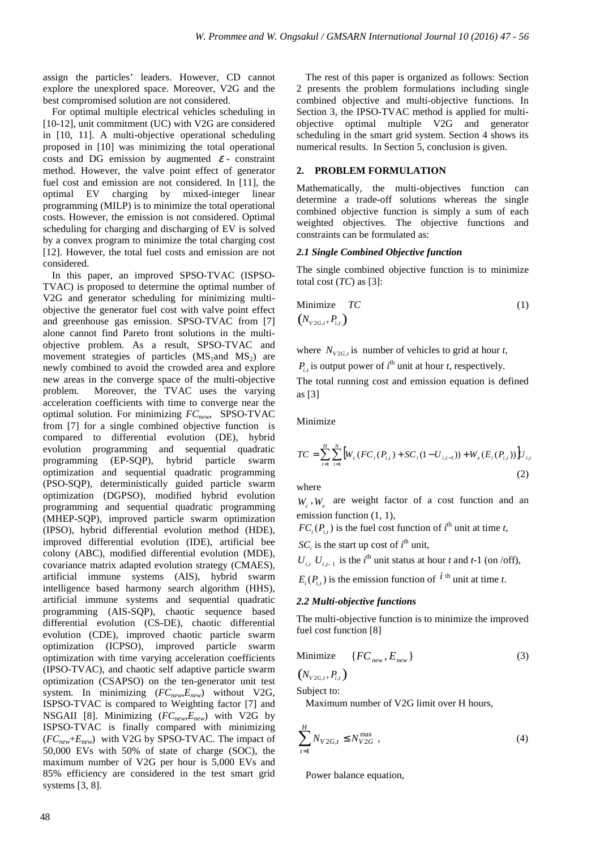assign the particles' leaders. However, CD cannot explore the unexplored space. Moreover, V2G and the best compromised solution are not considered.

For optimal multiple electrical vehicles scheduling in [10-12], unit commitment (UC) with V2G are considered in [10, 11]. A multi-objective operational scheduling proposed in [10] was minimizing the total operational costs and DG emission by augmented  $\varepsilon$  - constraint method. However, the valve point effect of generator fuel cost and emission are not considered. In [11], the optimal EV charging by mixed-integer linear programming (MILP) is to minimize the total operational costs. However, the emission is not considered. Optimal scheduling for charging and discharging of EV is solved by a convex program to minimize the total charging cost [12]. However, the total fuel costs and emission are not considered.

In this paper, an improved SPSO-TVAC (ISPSO-TVAC) is proposed to determine the optimal number of V2G and generator scheduling for minimizing multiobjective the generator fuel cost with valve point effect and greenhouse gas emission. SPSO-TVAC from [7] alone cannot find Pareto front solutions in the multiobjective problem. As a result, SPSO-TVAC and movement strategies of particles  $(MS_1)$  and  $MS_2$ ) are newly combined to avoid the crowded area and explore new areas in the converge space of the multi-objective problem. Moreover, the TVAC uses the varying acceleration coefficients with time to converge near the optimal solution. For minimizing *FCnew*, SPSO-TVAC from [7] for a single combined objective function is compared to differential evolution (DE), hybrid evolution programming and sequential quadratic programming (EP-SQP), hybrid particle swarm optimization and sequential quadratic programming (PSO-SQP), deterministically guided particle swarm optimization (DGPSO), modified hybrid evolution programming and sequential quadratic programming (MHEP-SQP), improved particle swarm optimization (IPSO), hybrid differential evolution method (HDE), improved differential evolution (IDE), artificial bee colony (ABC), modified differential evolution (MDE), covariance matrix adapted evolution strategy (CMAES), artificial immune systems (AIS), hybrid swarm intelligence based harmony search algorithm (HHS), artificial immune systems and sequential quadratic programming (AIS-SQP), chaotic sequence based differential evolution (CS-DE), chaotic differential evolution (CDE), improved chaotic particle swarm optimization (ICPSO), improved particle swarm optimization with time varying acceleration coefficients (IPSO-TVAC), and chaotic self adaptive particle swarm optimization (CSAPSO) on the ten-generator unit test system. In minimizing (*FCnew*,*Enew*) without V2G, ISPSO-TVAC is compared to Weighting factor [7] and NSGAII [8]. Minimizing (*FCnew*,*Enew*) with V2G by ISPSO-TVAC is finally compared with minimizing  $(FC_{new} + E_{new})$  with V2G by SPSO-TVAC. The impact of 50,000 EVs with 50% of state of charge (SOC), the maximum number of V2G per hour is 5,000 EVs and 85% efficiency are considered in the test smart grid systems [3, 8].

The rest of this paper is organized as follows: Section 2 presents the problem formulations including single combined objective and multi-objective functions. In Section 3, the IPSO-TVAC method is applied for multiobjective optimal multiple V2G and generator scheduling in the smart grid system. Section 4 shows its numerical results. In Section 5, conclusion is given.

# **2. PROBLEM FORMULATION**

Mathematically, the multi-objectives function can determine a trade-off solutions whereas the single combined objective function is simply a sum of each weighted objectives. The objective functions and constraints can be formulated as:

# *2.1 Single Combined Objective function*

The single combined objective function is to minimize total cost  $(TC)$  as  $[3]$ :

Minimize 
$$
TC
$$
 (1)  
\n $(N_{v_{2G,t}}, P_{i,t})$ 

where  $N_{V2G,t}$  is number of vehicles to grid at hour *t*,

 $P_{i,t}$  is output power of  $i^{\text{th}}$  unit at hour *t*, respectively.

The total running cost and emission equation is defined as [3]

Minimize

$$
TC = \sum_{i=1}^{H} \sum_{i=1}^{N} \left[ W_c \left( FC_i \left( P_{i,t} \right) + SC_i \left( 1 - U_{i,t-1} \right) \right) + W_e \left( E_i \left( P_{i,t} \right) \right) \right] U_{i,t}
$$
\n(2)

where

 $W_c$ ,  $W_e$  are weight factor of a cost function and an emission function  $(1, 1)$ ,

 $FC_i(P_{i,t})$  is the fuel cost function of  $i^{\text{th}}$  unit at time *t*,

 $SC_i$  is the start up cost of *i*<sup>th</sup> unit,

 $U_{i,t}$ ,  $U_{i,t-1}$  is the *i*<sup>th</sup> unit status at hour *t* and *t*-1 (on /off),

 $E_i(P_{i,t})$  is the emission function of  $i$ <sup>th</sup> unit at time *t*.

#### *2.2 Multi-objective functions*

The multi-objective function is to minimize the improved fuel cost function [8]

$$
\text{Minimize} \quad \{FC_{new}, E_{new}\} \tag{3}
$$

 $(N_{v_{2G,t}}, P_{i,t})$ 

Subject to:

Maximum number of V2G limit over H hours,

$$
\sum_{t=1}^{H} N_{V2G,t} \le N_{V2G}^{\max} \tag{4}
$$

Power balance equation,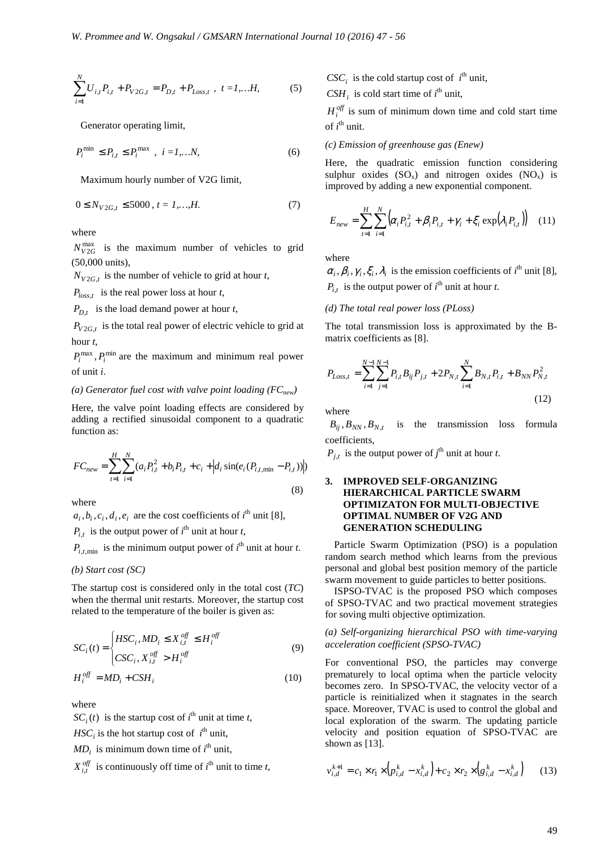$$
\sum_{i=1}^{N} U_{i,t} P_{i,t} + P_{V2G,t} = P_{D,t} + P_{Loss,t} , t = 1,...H,
$$
 (5)

Generator operating limit,

$$
P_i^{\min} \le P_{i,t} \le P_i^{\max} , i = I,...N,
$$
 (6)

Maximum hourly number of V2G limit,

$$
0 \le N_{V2G,t} \le 5000, t = 1,...,H.
$$
 (7)

where

 $N_{V2G}^{\text{max}}$  is the maximum number of vehicles to grid (50,000 units),

 $N_{V2G,t}$  is the number of vehicle to grid at hour *t*,

 $P_{loss,t}$  is the real power loss at hour *t*,

 $P_{D_t}$  is the load demand power at hour *t*,

 $P_{V2G,t}$  is the total real power of electric vehicle to grid at hour *t*,

 $P_i^{\text{max}}$ ,  $P_i^{\text{min}}$  are the maximum and minimum real power of unit *i*.

#### *(a) Generator fuel cost with valve point loading (FCnew)*

Here, the valve point loading effects are considered by adding a rectified sinusoidal component to a quadratic function as:

$$
FC_{new} = \sum_{t=1}^{H} \sum_{i=1}^{N} (a_i P_{i,t}^2 + b_i P_{i,t} + c_i + |d_i \sin(e_i (P_{i,t,min} - P_{i,t}))|)
$$
\n(8)

where

 $a_i, b_i, c_i, d_i, e_i$  are the cost coefficients of  $i^{\text{th}}$  unit [8],  $P_{i,t}$  is the output power of *i*<sup>th</sup> unit at hour *t*,

 $P_{i,t,\text{min}}$  is the minimum output power of  $i^{\text{th}}$  unit at hour *t*.

*(b) Start cost (SC)* 

The startup cost is considered only in the total cost (*TC*) when the thermal unit restarts. Moreover, the startup cost related to the temperature of the boiler is given as:

$$
SC_i(t) = \begin{cases} HSC_i, MD_i \le X_{i,t}^{off} \le H_i^{off} \\ CSC_i, X_{i,t}^{off} > H_i^{off} \end{cases}
$$
(9)

$$
H_i^{off} = MD_i + CSH_i
$$
 (10)

where

 $SC_i(t)$  is the startup cost of *i*<sup>th</sup> unit at time *t*,

 $HSC_i$  is the hot startup cost of  $i^{\text{th}}$  unit,

 $MD_i$  is minimum down time of  $i^{\text{th}}$  unit,

 $X_{i,t}^{off}$  is continuously off time of  $i^{\text{th}}$  unit to time *t*,

 $CSC_i$  is the cold startup cost of  $i^{\text{th}}$  unit,

 $CSH_i$  is cold start time of  $i^{\text{th}}$  unit,

 $H_i^{off}$  is sum of minimum down time and cold start time of *i*<sup>th</sup> unit.

#### *(c) Emission of greenhouse gas (Enew)*

Here, the quadratic emission function considering sulphur oxides  $(SO_x)$  and nitrogen oxides  $(NO_x)$  is improved by adding a new exponential component.

$$
E_{new} = \sum_{t=1}^{H} \sum_{i=1}^{N} \left( \alpha_i P_{i,t}^2 + \beta_i P_{i,t} + \gamma_i + \xi_i \exp(\lambda_i P_{i,t}) \right) \quad (11)
$$

where

 $\alpha_i, \beta_i, \gamma_i, \xi_i, \lambda_i$  is the emission coefficients of *i*<sup>th</sup> unit [8],  $P_{i,t}$  is the output power of *i*<sup>th</sup> unit at hour *t*.

#### *(d) The total real power loss (PLoss)*

The total transmission loss is approximated by the Bmatrix coefficients as [8].

$$
P_{Loss,t} = \sum_{i=1}^{N-1} \sum_{j=1}^{N-1} P_{i,t} B_{ij} P_{j,t} + 2P_{N,t} \sum_{i=1}^{N} B_{N,t} P_{i,t} + B_{NN} P_{N,t}^2
$$
\n(12)

where

 $B_{ij}$ ,  $B_{NN}$ ,  $B_{N,t}$  is the transmission loss formula coefficients,

 $P_{j,t}$  is the output power of *j*<sup>th</sup> unit at hour *t*.

# **3. IMPROVED SELF-ORGANIZING HIERARCHICAL PARTICLE SWARM OPTIMIZATON FOR MULTI-OBJECTIVE OPTIMAL NUMBER OF V2G AND GENERATION SCHEDULING**

Particle Swarm Optimization (PSO) is a population random search method which learns from the previous personal and global best position memory of the particle swarm movement to guide particles to better positions.

ISPSO-TVAC is the proposed PSO which composes of SPSO-TVAC and two practical movement strategies for soving multi objective optimization.

# *(a) Self-organizing hierarchical PSO with time-varying acceleration coefficient (SPSO-TVAC)*

For conventional PSO, the particles may converge prematurely to local optima when the particle velocity becomes zero. In SPSO-TVAC, the velocity vector of a particle is reinitialized when it stagnates in the search space. Moreover, TVAC is used to control the global and local exploration of the swarm. The updating particle velocity and position equation of SPSO-TVAC are shown as [13].

$$
v_{i,d}^{k+1} = c_1 \times r_1 \times (p_{i,d}^k - x_{i,d}^k) + c_2 \times r_2 \times (g_{i,d}^k - x_{i,d}^k)
$$
 (13)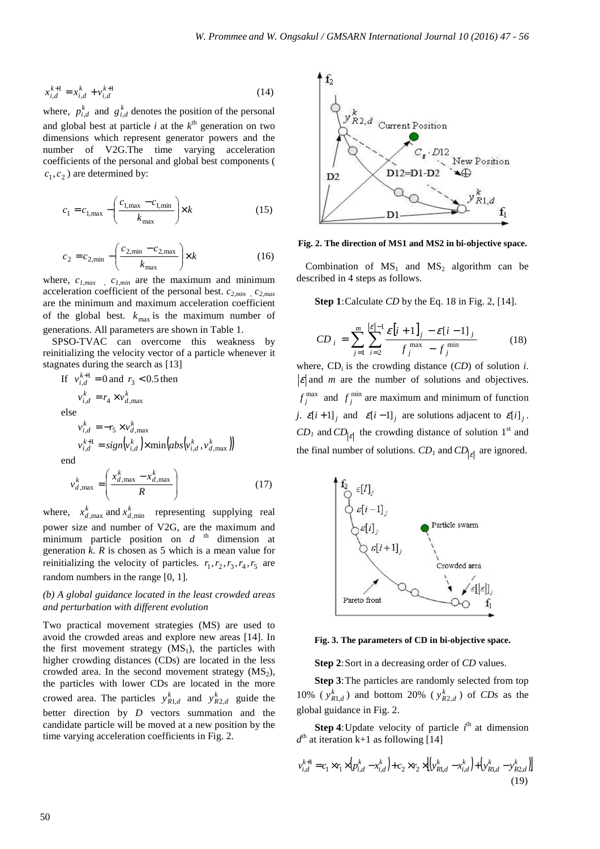$$
x_{i,d}^{k+1} = x_{i,d}^k + v_{i,d}^{k+1}
$$
 (14)

where,  $p_{i,d}^k$  and  $g_{i,d}^k$  denotes the position of the personal and global best at particle  $i$  at the  $k^{\text{th}}$  generation on two dimensions which represent generator powers and the number of V2G.The time varying acceleration coefficients of the personal and global best components (  $c_1, c_2$ ) are determined by:

$$
c_1 = c_{1, \max} - \left(\frac{c_{1, \max} - c_{1, \min}}{k_{\max}}\right) \times k
$$
 (15)

$$
c_2 = c_{2,\min} - \left(\frac{c_{2,\min} - c_{2,\max}}{k_{\max}}\right) \times k
$$
 (16)

where, *c1,max , c1,min* are the maximum and minimum acceleration coefficient of the personal best. *c2,min , c2,max* are the minimum and maximum acceleration coefficient of the global best.  $k_{\text{max}}$  is the maximum number of generations. All parameters are shown in Table 1.

SPSO-TVAC can overcome this weakness by reinitializing the velocity vector of a particle whenever it stagnates during the search as [13]

If 
$$
v_{i,d}^{k+1} = 0
$$
 and  $r_3 < 0.5$  then  
\n
$$
v_{i,d}^k = r_4 \times v_{d,\text{max}}^k
$$
\nelse  
\n
$$
v_{i,d}^k = -r_5 \times v_{d,\text{max}}^k
$$
\n
$$
v_{i,d}^{k+1} = sign\left(v_{i,d}^k\right) \times min\left(abs\left(v_{i,d}^k, v_{d,\text{max}}^k\right)\right)
$$
\nend\n
$$
v_{d,\text{max}}^k = \left(\frac{x_{d,\text{max}}^k - x_{d,\text{max}}^k}{R}\right) \tag{17}
$$

J

where,  $x_{d,\text{max}}^k$  and  $x_{d,\text{min}}^k$  representing supplying real power size and number of V2G, are the maximum and minimum particle position on  $d^{th}$  dimension at generation *k*. *R* is chosen as 5 which is a mean value for reinitializing the velocity of particles.  $r_1, r_2, r_3, r_4, r_5$  are random numbers in the range [0, 1].

∖

# *(b) A global guidance located in the least crowded areas and perturbation with different evolution*

Two practical movement strategies (MS) are used to avoid the crowded areas and explore new areas [14]. In the first movement strategy  $(MS_1)$ , the particles with higher crowding distances (CDs) are located in the less crowded area. In the second movement strategy  $(MS_2)$ , the particles with lower CDs are located in the more crowed area. The particles  $y_{R1,d}^k$  and  $y_{R2,d}^k$  guide the better direction by *D* vectors summation and the candidate particle will be moved at a new position by the time varying acceleration coefficients in Fig. 2.



**Fig. 2. The direction of MS1 and MS2 in bi-objective space.** 

Combination of  $MS_1$  and  $MS_2$  algorithm can be described in 4 steps as follows.

**Step 1**: Calculate *CD* by the Eq. 18 in Fig. 2, [14].

$$
CD_{i} = \sum_{j=1}^{m} \sum_{i=2}^{|\varepsilon|-1} \frac{\varepsilon[i+1]_{j} - \varepsilon[i-1]_{j}}{f_{j}^{\max} - f_{j}^{\min}}
$$
(18)

where,  $CD_i$  is the crowding distance  $(CD)$  of solution *i*.  $\left| \varepsilon \right|$  and *m* are the number of solutions and objectives.  $f_j^{\text{max}}$  and  $f_j^{\text{min}}$  are maximum and minimum of function *j*.  $\mathcal{E}[i+1]_j$  and  $\mathcal{E}[i-1]_j$  are solutions adjacent to  $\mathcal{E}[i]_j$ .  $CD_I$  and  $CD_{\vert \varepsilon \vert}$  the crowding distance of solution 1<sup>st</sup> and the final number of solutions.  $CD<sub>l</sub>$  and  $CD<sub>|<sub>ε</sub>|</sub>$  are ignored.



**Fig. 3. The parameters of CD in bi-objective space.** 

**Step 2**: Sort in a decreasing order of *CD* values.

**Step 3**: The particles are randomly selected from top 10% ( $y_{R1,d}^k$ ) and bottom 20% ( $y_{R2,d}^k$ ) of *CDs* as the global guidance in Fig. 2.

**Step 4**: Update velocity of particle  $i<sup>th</sup>$  at dimension  $d<sup>th</sup>$  at iteration k+1 as following [14]

$$
v_{i,d}^{k+1} = c_1 \times r_1 \times (p_{i,d}^k - x_{i,d}^k) + c_2 \times r_2 \times \left[ (y_{Rl,d}^k - x_{i,d}^k) + (y_{Rl,d}^k - y_{R2,d}^k) \right]
$$
\n(19)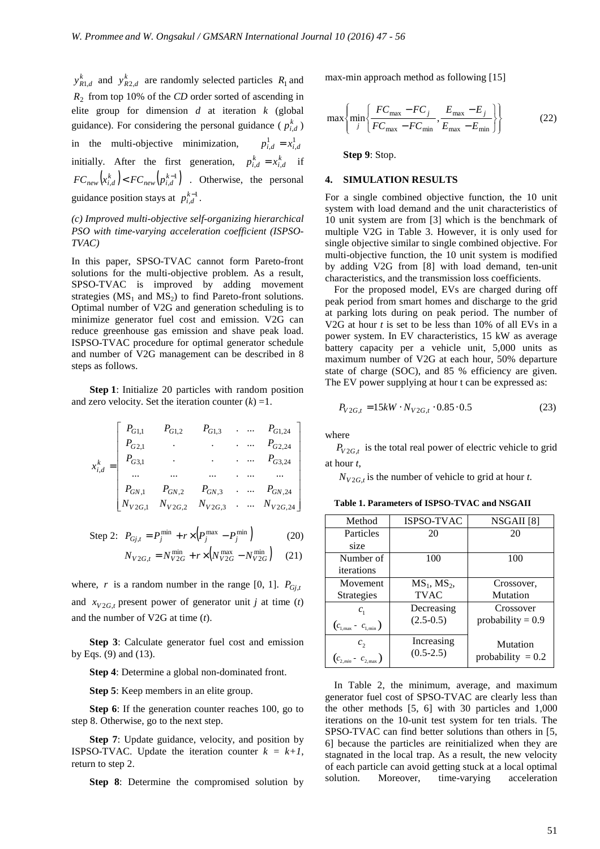$y_{R1,d}^k$  and  $y_{R2,d}^k$  are randomly selected particles  $R_1$  and *R*2 from top 10% of the *CD* order sorted of ascending in elite group for dimension *d* at iteration *k* (global guidance). For considering the personal guidance ( $p_{i,d}^k$ ) in the multi-objective minimization,  $p_{i,d}^1 = x_{i,d}^1$ initially. After the first generation,  $p_{i,d}^k = x_{i,d}^k$  if  $FC_{new} \left( x_{i,d}^k \right) < FC_{new} \left( p_{i,d}^{k-1} \right)$  . Otherwise, the personal guidance position stays at  $p_{i,d}^{k-1}$ .

# *(c) Improved multi-objective self-organizing hierarchical PSO with time-varying acceleration coefficient (ISPSO-TVAC)*

In this paper, SPSO-TVAC cannot form Pareto-front solutions for the multi-objective problem. As a result, SPSO-TVAC is improved by adding movement strategies ( $MS_1$  and  $MS_2$ ) to find Pareto-front solutions. Optimal number of V2G and generation scheduling is to minimize generator fuel cost and emission. V2G can reduce greenhouse gas emission and shave peak load. ISPSO-TVAC procedure for optimal generator schedule and number of V2G management can be described in 8 steps as follows.

**Step 1**: Initialize 20 particles with random position and zero velocity. Set the iteration counter  $(k) = 1$ .

$$
x_{i,d}^k = \begin{bmatrix} P_{G1,1} & P_{G1,2} & P_{G1,3} & \cdots & P_{G1,24} \\ P_{G2,1} & \cdots & \cdots & P_{G2,24} \\ P_{G3,1} & \cdots & \cdots & \cdots & P_{G3,24} \\ \cdots & \cdots & \cdots & \cdots & \cdots \\ P_{GN,1} & P_{GN,2} & P_{GN,3} & \cdots & P_{GN,24} \\ N_{V2G,1} & N_{V2G,2} & N_{V2G,3} & \cdots & N_{V2G,24} \end{bmatrix}
$$

Step 2: 
$$
P_{Gj,t} = P_j^{\min} + r \times (P_j^{\max} - P_j^{\min})
$$
 (20)  

$$
N_{V2G,t} = N_{V2G}^{\min} + r \times (N_{V2G}^{\max} - N_{V2G}^{\min})
$$
 (21)

where, *r* is a random number in the range [0, 1].  $P_{Gj,t}$ and  $x_{V2G,t}$  present power of generator unit *j* at time (*t*) and the number of V2G at time (*t*).

**Step 3**: Calculate generator fuel cost and emission by Eqs. (9) and (13).

**Step 4**: Determine a global non-dominated front.

**Step 5**: Keep members in an elite group.

**Step 6**: If the generation counter reaches 100, go to step 8. Otherwise, go to the next step.

**Step 7**: Update guidance, velocity, and position by **ISPSO-TVAC.** Update the iteration counter  $k = k+1$ , return to step 2.

**Step 8**: Determine the compromised solution by

max-min approach method as following [15]

$$
\max\left\{\min_{j}\left\{\frac{FC_{\text{max}} - FC_j}{FC_{\text{max}} - FC_{\text{min}}}, \frac{E_{\text{max}} - E_j}{E_{\text{max}} - E_{\text{min}}}\right\}\right\}
$$
(22)

**Step 9**: Stop.

#### **4. SIMULATION RESULTS**

For a single combined objective function, the 10 unit system with load demand and the unit characteristics of 10 unit system are from [3] which is the benchmark of multiple V2G in Table 3. However, it is only used for single objective similar to single combined objective. For multi-objective function, the 10 unit system is modified by adding V2G from [8] with load demand, ten-unit characteristics, and the transmission loss coefficients.

For the proposed model, EVs are charged during off peak period from smart homes and discharge to the grid at parking lots during on peak period. The number of V2G at hour  $t$  is set to be less than 10% of all EVs in a power system. In EV characteristics, 15 kW as average battery capacity per a vehicle unit, 5,000 units as maximum number of V2G at each hour, 50% departure state of charge (SOC), and 85 % efficiency are given. The EV power supplying at hour t can be expressed as:

$$
P_{V2G,t} = 15kW \cdot N_{V2G,t} \cdot 0.85 \cdot 0.5
$$
 (23)

where

 $P_{V2G,t}$  is the total real power of electric vehicle to grid at hour *t*,

 $N_{V2G,t}$  is the number of vehicle to grid at hour *t*.

| Method                        | <b>ISPSO-TVAC</b> | NSGAII [8]          |  |  |  |  |
|-------------------------------|-------------------|---------------------|--|--|--|--|
| Particles                     | 20                | 20                  |  |  |  |  |
| size                          |                   |                     |  |  |  |  |
| Number of                     | 100               | 100                 |  |  |  |  |
| iterations                    |                   |                     |  |  |  |  |
| Movement                      | $MS_1, MS_2,$     | Crossover,          |  |  |  |  |
| <b>Strategies</b>             | <b>TVAC</b>       | Mutation            |  |  |  |  |
| $c_{\scriptscriptstyle 1}^{}$ | Decreasing        | Crossover           |  |  |  |  |
| $(c_{1,\max} - c_{1,\min})$   | $(2.5-0.5)$       | probability = $0.9$ |  |  |  |  |
| c <sub>2</sub>                | Increasing        | Mutation            |  |  |  |  |
| $(c_{2,min} - c_{2,max})$     | $(0.5-2.5)$       | probability $= 0.2$ |  |  |  |  |

**Table 1. Parameters of ISPSO-TVAC and NSGAII** 

In Table 2, the minimum, average, and maximum generator fuel cost of SPSO-TVAC are clearly less than the other methods [5, 6] with 30 particles and 1,000 iterations on the 10-unit test system for ten trials. The SPSO-TVAC can find better solutions than others in [5, 6] because the particles are reinitialized when they are stagnated in the local trap. As a result, the new velocity of each particle can avoid getting stuck at a local optimal solution. Moreover, time-varying acceleration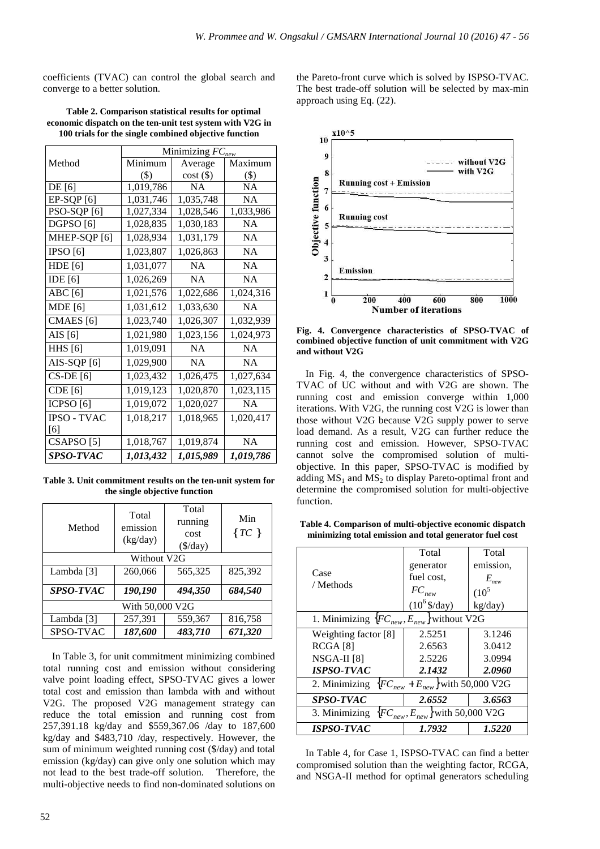coefficients (TVAC) can control the global search and converge to a better solution.

**Table 2. Comparison statistical results for optimal economic dispatch on the ten-unit test system with V2G in 100 trials for the single combined objective function** 

|                        |                             | Minimizing $FC_{new}$ |           |
|------------------------|-----------------------------|-----------------------|-----------|
| Method                 | $\overline{\text{Minimum}}$ | Average               | Maximum   |
|                        | $($ \$)                     | $cost($ \$)           | $(\$)$    |
| DE[6]                  | $\overline{1,}019,786$      | <b>NA</b>             | <b>NA</b> |
| $EP-SQP[6]$            | 1,031,746                   | 1,035,748             | <b>NA</b> |
| PSO-SQP <sup>[6]</sup> | 1,027,334                   | 1,028,546             | 1,033,986 |
| DGPSO <sup>[6]</sup>   | 1,028,835                   | 1,030,183             | <b>NA</b> |
| MHEP-SQP [6]           | 1,028,934                   | 1,031,179             | <b>NA</b> |
| $\overline{IPSO}$ [6]  | 1,023,807                   | 1,026,863             | <b>NA</b> |
| <b>HDE</b> [6]         | 1,031,077                   | <b>NA</b>             | <b>NA</b> |
| IDE $[6]$              | 1,026,269                   | <b>NA</b>             | <b>NA</b> |
| ABC[6]                 | 1,021,576                   | 1,022,686             | 1,024,316 |
| <b>MDE</b> [6]         | 1,031,612                   | 1,033,630             | NA        |
| CMAES <sup>[6]</sup>   | 1,023,740                   | 1,026,307             | 1,032,939 |
| AIS $[6]$              | 1,021,980                   | 1,023,156             | 1,024,973 |
| <b>HHS</b> [6]         | 1,019,091                   | <b>NA</b>             | <b>NA</b> |
| AIS-SQP [6]            | 1,029,900                   | <b>NA</b>             | <b>NA</b> |
| $CS-DE[6]$             | 1,023,432                   | 1,026,475             | 1,027,634 |
| CDE [6]                | 1,019,123                   | 1,020,870             | 1,023,115 |
| ICPSO <sup>[6]</sup>   | 1,019,072                   | 1,020,027             | <b>NA</b> |
| <b>IPSO - TVAC</b>     | 1,018,217                   | 1,018,965             | 1,020,417 |
| [6]                    |                             |                       |           |
| CSAPSO [5]             | 1,018,767                   | 1,019,874             | NA        |
| SPSO-TVAC              | 1,013,432                   | 1,015,989             | 1,019,786 |

**Table 3. Unit commitment results on the ten-unit system for the single objective function** 

| Method          | Total<br>emission<br>(kg/day) | Total<br>running<br>cost<br>$(\frac{1}{3})$ | Min<br>$\{TC\}$ |  |  |  |  |  |  |  |  |
|-----------------|-------------------------------|---------------------------------------------|-----------------|--|--|--|--|--|--|--|--|
| Without V2G     |                               |                                             |                 |  |  |  |  |  |  |  |  |
| Lambda [3]      | 260,066                       | 565,325                                     | 825,392         |  |  |  |  |  |  |  |  |
| SPSO-TVAC       | 190,190                       | 494,350                                     | 684,540         |  |  |  |  |  |  |  |  |
| With 50,000 V2G |                               |                                             |                 |  |  |  |  |  |  |  |  |
| Lambda [3]      | 257,391                       | 559,367                                     | 816,758         |  |  |  |  |  |  |  |  |
| SPSO-TVAC       | 187,600                       | 483,710                                     | 671,320         |  |  |  |  |  |  |  |  |

In Table 3, for unit commitment minimizing combined total running cost and emission without considering valve point loading effect, SPSO-TVAC gives a lower total cost and emission than lambda with and without V2G. The proposed V2G management strategy can reduce the total emission and running cost from 257,391.18 kg/day and \$559,367.06 /day to 187,600 kg/day and \$483,710 /day, respectively. However, the sum of minimum weighted running cost (\$/day) and total emission (kg/day) can give only one solution which may not lead to the best trade-off solution. Therefore, the multi-objective needs to find non-dominated solutions on

the Pareto-front curve which is solved by ISPSO-TVAC. The best trade-off solution will be selected by max-min approach using Eq. (22).



**Fig. 4. Convergence characteristics of SPSO-TVAC of combined objective function of unit commitment with V2G and without V2G** 

In Fig. 4, the convergence characteristics of SPSO-TVAC of UC without and with V2G are shown. The running cost and emission converge within 1,000 iterations. With V2G, the running cost V2G is lower than those without V2G because V2G supply power to serve load demand. As a result, V2G can further reduce the running cost and emission. However, SPSO-TVAC cannot solve the compromised solution of multiobjective. In this paper, SPSO-TVAC is modified by adding  $MS_1$  and  $MS_2$  to display Pareto-optimal front and determine the compromised solution for multi-objective function.

**Table 4. Comparison of multi-objective economic dispatch minimizing total emission and total generator fuel cost** 

|                                                 | Total                                  | Total            |  |  |  |  |
|-------------------------------------------------|----------------------------------------|------------------|--|--|--|--|
|                                                 | generator                              | emission,        |  |  |  |  |
| Case                                            | fuel cost.                             | $E_{\text{new}}$ |  |  |  |  |
| / Methods                                       | $FC_{new}$                             | $(10^5$          |  |  |  |  |
|                                                 | $(10^6 \frac{5}{day})$                 | kg/day)          |  |  |  |  |
| 1. Minimizing ${FC}_{new}, E_{new}$ without V2G |                                        |                  |  |  |  |  |
| Weighting factor [8]                            | 2.5251                                 | 3.1246           |  |  |  |  |
| RCGA [8]                                        | 2.6563                                 | 3.0412           |  |  |  |  |
| NSGA-II [8]                                     | 2.5226                                 | 3.0994           |  |  |  |  |
| <b>ISPSO-TVAC</b>                               | 2.1432                                 | 2.0960           |  |  |  |  |
| 2. Minimizing                                   | ${FC}_{new} + E_{new}$ with 50,000 V2G |                  |  |  |  |  |
| <b>SPSO-TVAC</b>                                | 2.6552                                 | 3.6563           |  |  |  |  |
| 3. Minimizing                                   | ${FC}_{new}, E_{new}$ with 50,000 V2G  |                  |  |  |  |  |
| <i><b>ISPSO-TVAC</b></i>                        | 1.7932                                 | 1.5220           |  |  |  |  |

In Table 4, for Case 1, ISPSO-TVAC can find a better compromised solution than the weighting factor, RCGA, and NSGA-II method for optimal generators scheduling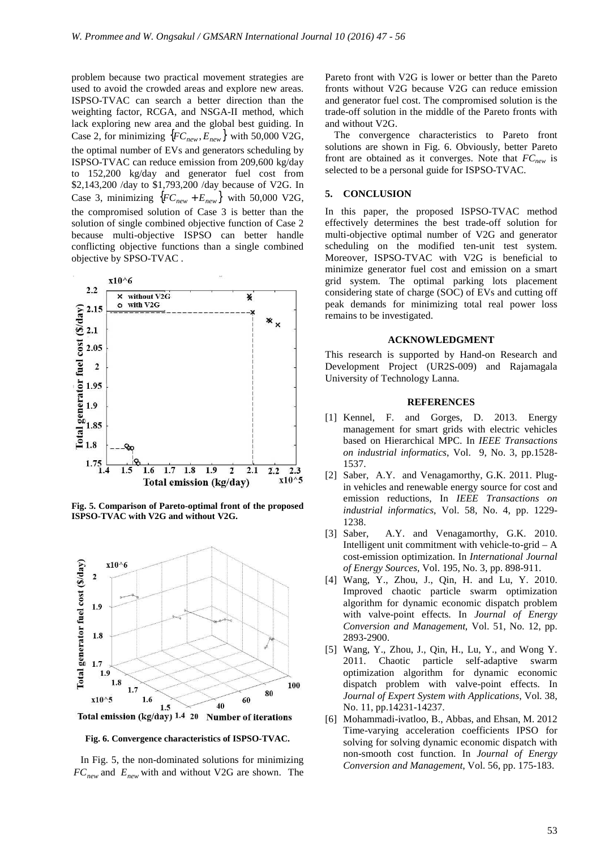problem because two practical movement strategies are used to avoid the crowded areas and explore new areas. ISPSO-TVAC can search a better direction than the weighting factor, RCGA, and NSGA-II method, which lack exploring new area and the global best guiding. In Case 2, for minimizing  ${FC_{new}, E_{new}}$  with 50,000 V2G, the optimal number of EVs and generators scheduling by ISPSO-TVAC can reduce emission from 209,600 kg/day to 152,200 kg/day and generator fuel cost from \$2,143,200 /day to \$1,793,200 /day because of V2G. In Case 3, minimizing  ${FC_{new} + E_{new}}$  with 50,000 V2G, the compromised solution of Case 3 is better than the solution of single combined objective function of Case 2 because multi-objective ISPSO can better handle conflicting objective functions than a single combined objective by SPSO-TVAC .



**Fig. 5. Comparison of Pareto-optimal front of the proposed ISPSO-TVAC with V2G and without V2G.** 



**Fig. 6. Convergence characteristics of ISPSO-TVAC.** 

In Fig. 5, the non-dominated solutions for minimizing *FCnew* and *Enew* with and without V2G are shown. The Pareto front with V2G is lower or better than the Pareto fronts without V2G because V2G can reduce emission and generator fuel cost. The compromised solution is the trade-off solution in the middle of the Pareto fronts with and without V2G.

The convergence characteristics to Pareto front solutions are shown in Fig. 6. Obviously, better Pareto front are obtained as it converges. Note that *FCnew* is selected to be a personal guide for ISPSO-TVAC.

#### **5. CONCLUSION**

In this paper, the proposed ISPSO-TVAC method effectively determines the best trade-off solution for multi-objective optimal number of V2G and generator scheduling on the modified ten-unit test system. Moreover, ISPSO-TVAC with V2G is beneficial to minimize generator fuel cost and emission on a smart grid system. The optimal parking lots placement considering state of charge (SOC) of EVs and cutting off peak demands for minimizing total real power loss remains to be investigated.

# **ACKNOWLEDGMENT**

This research is supported by Hand-on Research and Development Project (UR2S-009) and Rajamagala University of Technology Lanna.

# **REFERENCES**

- [1] Kennel, F. and Gorges, D. 2013. Energy management for smart grids with electric vehicles based on Hierarchical MPC. In *IEEE Transactions on industrial informatics*, Vol. 9, No. 3, pp.1528- 1537.
- [2] Saber, A.Y. and Venagamorthy, G.K. 2011. Plugin vehicles and renewable energy source for cost and emission reductions, In *IEEE Transactions on industrial informatics*, Vol. 58, No. 4, pp. 1229- 1238.
- [3] Saber, A.Y. and Venagamorthy, G.K. 2010. Intelligent unit commitment with vehicle-to-grid – A cost-emission optimization. In *International Journal of Energy Sources*, Vol. 195, No. 3, pp. 898-911.
- [4] Wang, Y., Zhou, J., Qin, H. and Lu, Y. 2010. Improved chaotic particle swarm optimization algorithm for dynamic economic dispatch problem with valve-point effects. In *Journal of Energy Conversion and Management*, Vol. 51, No. 12, pp. 2893-2900.
- [5] Wang, Y., Zhou, J., Qin, H., Lu, Y., and Wong Y. 2011. Chaotic particle self-adaptive swarm optimization algorithm for dynamic economic dispatch problem with valve-point effects. In *Journal of Expert System with Applications*, Vol. 38, No. 11, pp.14231-14237.
- [6] Mohammadi-ivatloo, B., Abbas, and Ehsan, M. 2012 Time-varying acceleration coefficients IPSO for solving for solving dynamic economic dispatch with non-smooth cost function. In *Journal of Energy Conversion and Management*, Vol. 56, pp. 175-183.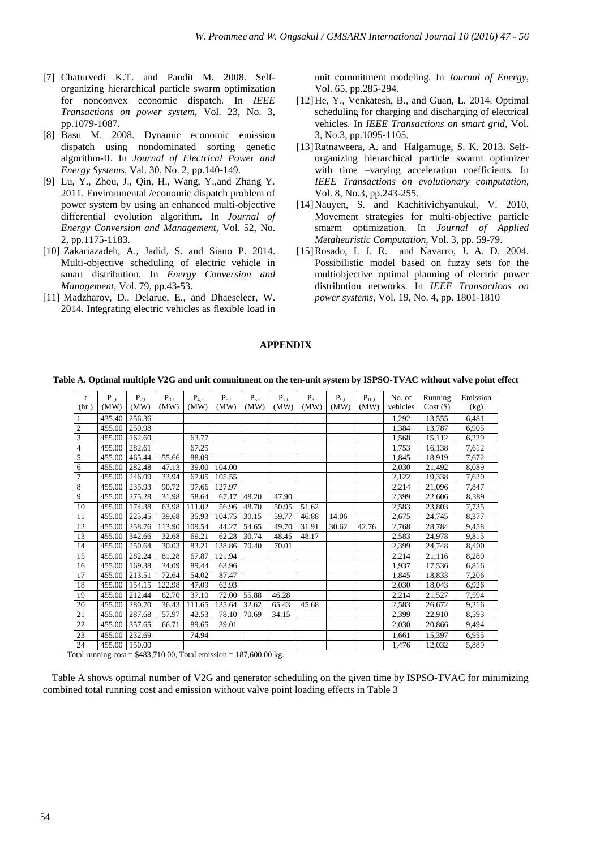- [7] Chaturvedi K.T. and Pandit M. 2008. Selforganizing hierarchical particle swarm optimization for nonconvex economic dispatch. In *IEEE Transactions on power system*, Vol. 23, No. 3, pp.1079-1087.
- [8] Basu M. 2008. Dynamic economic emission dispatch using nondominated sorting genetic algorithm-II. In *Journal of Electrical Power and Energy Systems*, Val. 30, No. 2, pp.140-149.
- [9] Lu, Y., Zhou, J., Qin, H., Wang, Y.,and Zhang Y. 2011. Environmental /economic dispatch problem of power system by using an enhanced multi-objective differential evolution algorithm. In *Journal of Energy Conversion and Management*, Vol. 52, No. 2, pp.1175-1183.
- [10] Zakariazadeh, A., Jadid, S. and Siano P. 2014. Multi-objective scheduling of electric vehicle in smart distribution. In *Energy Conversion and Management*, Vol. 79, pp.43-53.
- [11] Madzharov, D., Delarue, E., and Dhaeseleer, W. 2014. Integrating electric vehicles as flexible load in

unit commitment modeling. In *Journal of Energy*, Vol. 65, pp.285-294.

- [12]He, Y., Venkatesh, B., and Guan, L. 2014. Optimal scheduling for charging and discharging of electrical vehicles. In *IEEE Transactions on smart grid,* Vol. 3, No.3, pp.1095-1105.
- [13]Ratnaweera, A. and Halgamuge, S. K. 2013. Selforganizing hierarchical particle swarm optimizer with time –varying acceleration coefficients. In *IEEE Transactions on evolutionary computation*, Vol. 8, No.3, pp.243-255.
- [14] Nauyen, S. and Kachitivichyanukul, V. 2010, Movement strategies for multi-objective particle smarm optimization. In *Journal of Applied Metaheuristic Computation*, Vol. 3, pp. 59-79.
- [15]Rosado, I. J. R. and Navarro, J. A. D. 2004. Possibilistic model based on fuzzy sets for the multiobjective optimal planning of electric power distribution networks. In *IEEE Transactions on power systems*, Vol. 19, No. 4, pp. 1801-1810

#### **APPENDIX**

**Table A. Optimal multiple V2G and unit commitment on the ten-unit system by ISPSO-TVAC without valve point effect** 

| t              | $P_{1,t}$ | $P_{2,t}$ | $P_{3,t}$ | $P_{4,t}$ | $P_{5,t}$ | $P_{6,t}$ | $P_{7,t}$ | $P_{8,t}$ | $P_{9,t}$ | $P_{10,t}$ | No. of   | Running     | Emission |
|----------------|-----------|-----------|-----------|-----------|-----------|-----------|-----------|-----------|-----------|------------|----------|-------------|----------|
| (hr.)          | (MW)      | (MW)      | (MW)      | (MW)      | (MW)      | (MW)      | (MW)      | (MW)      | (MW)      | (MW)       | vehicles | $Cost($ \$) | (kg)     |
| $\mathbf{1}$   | 435.40    | 256.36    |           |           |           |           |           |           |           |            | 1,292    | 13,555      | 6,481    |
| $\sqrt{2}$     | 455.00    | 250.98    |           |           |           |           |           |           |           |            | 1,384    | 13,787      | 6,905    |
| $\overline{3}$ | 455.00    | 162.60    |           | 63.77     |           |           |           |           |           |            | 1,568    | 15,112      | 6,229    |
| $\overline{4}$ | 455.00    | 282.61    |           | 67.25     |           |           |           |           |           |            | 1,753    | 16,138      | 7,612    |
| 5              | 455.00    | 465.44    | 55.66     | 88.09     |           |           |           |           |           |            | 1,845    | 18,919      | 7,672    |
| 6              | 455.00    | 282.48    | 47.13     | 39.00     | 104.00    |           |           |           |           |            | 2,030    | 21,492      | 8,089    |
| $\overline{7}$ | 455.00    | 246.09    | 33.94     | 67.05     | 105.55    |           |           |           |           |            | 2,122    | 19,338      | 7,620    |
| $\overline{8}$ | 455.00    | 235.93    | 90.72     | 97.66     | 127.97    |           |           |           |           |            | 2,214    | 21,096      | 7,847    |
| 9              | 455.00    | 275.28    | 31.98     | 58.64     | 67.17     | 48.20     | 47.90     |           |           |            | 2,399    | 22,606      | 8,389    |
| 10             | 455.00    | 174.38    | 63.98     | 111.02    | 56.96     | 48.70     | 50.95     | 51.62     |           |            | 2,583    | 23,803      | 7,735    |
| 11             | 455.00    | 225.45    | 39.68     | 35.93     | 104.75    | 30.15     | 59.77     | 46.88     | 14.06     |            | 2,675    | 24,745      | 8,377    |
| 12             | 455.00    | 258.76    | 113.90    | 109.54    | 44.27     | 54.65     | 49.70     | 31.91     | 30.62     | 42.76      | 2,768    | 28,784      | 9,458    |
| 13             | 455.00    | 342.66    | 32.68     | 69.21     | 62.28     | 30.74     | 48.45     | 48.17     |           |            | 2,583    | 24,978      | 9,815    |
| 14             | 455.00    | 250.64    | 30.03     | 83.21     | 138.86    | 70.40     | 70.01     |           |           |            | 2,399    | 24,748      | 8,400    |
| 15             | 455.00    | 282.24    | 81.28     | 67.87     | 121.94    |           |           |           |           |            | 2,214    | 21,116      | 8,280    |
| 16             | 455.00    | 169.38    | 34.09     | 89.44     | 63.96     |           |           |           |           |            | 1,937    | 17,536      | 6,816    |
| 17             | 455.00    | 213.51    | 72.64     | 54.02     | 87.47     |           |           |           |           |            | 1,845    | 18,833      | 7,206    |
| 18             | 455.00    | 154.15    | 122.98    | 47.09     | 62.93     |           |           |           |           |            | 2,030    | 18,043      | 6,926    |
| 19             | 455.00    | 212.44    | 62.70     | 37.10     | 72.00     | 55.88     | 46.28     |           |           |            | 2,214    | 21,527      | 7,594    |
| 20             | 455.00    | 280.70    | 36.43     | 111.65    | 135.64    | 32.62     | 65.43     | 45.68     |           |            | 2,583    | 26,672      | 9,216    |
| 21             | 455.00    | 287.68    | 57.97     | 42.53     | 78.10     | 70.69     | 34.15     |           |           |            | 2,399    | 22,910      | 8,593    |
| 22             | 455.00    | 357.65    | 66.71     | 89.65     | 39.01     |           |           |           |           |            | 2,030    | 20,866      | 9,494    |
| 23             | 455.00    | 232.69    |           | 74.94     |           |           |           |           |           |            | 1,661    | 15,397      | 6,955    |
| 24             | 455.00    | 150.00    |           |           |           |           |           |           |           |            | 1,476    | 12,032      | 5,889    |

Total running  $cost = $483,710.00$ , Total emission = 187,600.00 kg.

Table A shows optimal number of V2G and generator scheduling on the given time by ISPSO-TVAC for minimizing combined total running cost and emission without valve point loading effects in Table 3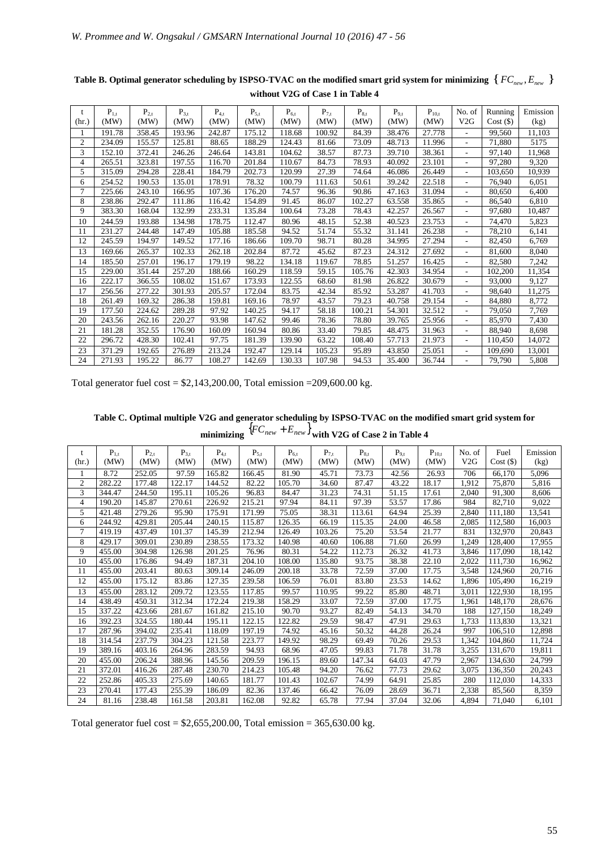| t     | $P_{1,t}$ | $P_{2,t}$ | $P_{3,t}$ | $P_{4,t}$ | $P_{5,t}$ | $P_{6,t}$ | $P_{7,t}$ | $P_{8,t}$ | $P_{9,t}$ | $P_{10,t}$ | No. of                   | Running     | Emission |
|-------|-----------|-----------|-----------|-----------|-----------|-----------|-----------|-----------|-----------|------------|--------------------------|-------------|----------|
| (hr.) | (MW)      | (MW)      | (MW)      | (MW)      | (MW)      | (MW)      | (MW)      | (MW)      | (MW)      | (MW)       | V2G                      | $Cost($ \$) | (kg)     |
| 1     | 191.78    | 358.45    | 193.96    | 242.87    | 175.12    | 118.68    | 100.92    | 84.39     | 38.476    | 27.778     | ٠                        | 99,560      | 11,103   |
| 2     | 234.09    | 155.57    | 125.81    | 88.65     | 188.29    | 124.43    | 81.66     | 73.09     | 48.713    | 11.996     | $\overline{a}$           | 71.880      | 5175     |
| 3     | 152.10    | 372.41    | 246.26    | 246.64    | 143.81    | 104.62    | 38.57     | 87.73     | 39.710    | 38.361     | $\overline{\phantom{a}}$ | 97,140      | 11,968   |
| 4     | 265.51    | 323.81    | 197.55    | 116.70    | 201.84    | 110.67    | 84.73     | 78.93     | 40.092    | 23.101     | ٠                        | 97,280      | 9,320    |
| 5     | 315.09    | 294.28    | 228.41    | 184.79    | 202.73    | 120.99    | 27.39     | 74.64     | 46.086    | 26.449     | ٠                        | 103,650     | 10,939   |
| 6     | 254.52    | 190.53    | 135.01    | 178.91    | 78.32     | 100.79    | 111.63    | 50.61     | 39.242    | 22.518     | ٠                        | 76,940      | 6,051    |
| 7     | 225.66    | 243.10    | 166.95    | 107.36    | 176.20    | 74.57     | 96.36     | 90.86     | 47.163    | 31.094     | ٠                        | 80,650      | 6,400    |
| 8     | 238.86    | 292.47    | 111.86    | 116.42    | 154.89    | 91.45     | 86.07     | 102.27    | 63.558    | 35.865     | ٠                        | 86,540      | 6,810    |
| 9     | 383.30    | 168.04    | 132.99    | 233.31    | 135.84    | 100.64    | 73.28     | 78.43     | 42.257    | 26.567     | $\qquad \qquad$          | 97,680      | 10,487   |
| 10    | 244.59    | 193.88    | 134.98    | 178.75    | 112.47    | 80.96     | 48.15     | 52.38     | 40.523    | 23.753     |                          | 74,470      | 5,823    |
| 11    | 231.27    | 244.48    | 147.49    | 105.88    | 185.58    | 94.52     | 51.74     | 55.32     | 31.141    | 26.238     | ٠                        | 78,210      | 6,141    |
| 12    | 245.59    | 194.97    | 149.52    | 177.16    | 186.66    | 109.70    | 98.71     | 80.28     | 34.995    | 27.294     | $\overline{\phantom{a}}$ | 82,450      | 6,769    |
| 13    | 169.66    | 265.37    | 102.33    | 262.18    | 202.84    | 87.72     | 45.62     | 87.23     | 24.312    | 27.692     | ٠                        | 81,600      | 8,040    |
| 14    | 185.50    | 257.01    | 196.17    | 179.19    | 98.22     | 134.18    | 119.67    | 78.85     | 51.257    | 16.425     | $\overline{\phantom{a}}$ | 82,580      | 7,242    |
| 15    | 229.00    | 351.44    | 257.20    | 188.66    | 160.29    | 118.59    | 59.15     | 105.76    | 42.303    | 34.954     | ٠                        | 102,200     | 11,354   |
| 16    | 222.17    | 366.55    | 108.02    | 151.67    | 173.93    | 122.55    | 68.60     | 81.98     | 26.822    | 30.679     |                          | 93,000      | 9,127    |
| 17    | 256.56    | 277.22    | 301.93    | 205.57    | 172.04    | 83.75     | 42.34     | 85.92     | 53.287    | 41.703     | ٠                        | 98.640      | 11,275   |
| 18    | 261.49    | 169.32    | 286.38    | 159.81    | 169.16    | 78.97     | 43.57     | 79.23     | 40.758    | 29.154     | ٠                        | 84.880      | 8.772    |
| 19    | 177.50    | 224.62    | 289.28    | 97.92     | 140.25    | 94.17     | 58.18     | 100.21    | 54.301    | 32.512     | $\overline{\phantom{a}}$ | 79,050      | 7,769    |
| 20    | 243.56    | 262.16    | 220.27    | 93.98     | 147.62    | 99.46     | 78.36     | 78.80     | 39.765    | 25.956     | ٠                        | 85,970      | 7,430    |
| 21    | 181.28    | 352.55    | 176.90    | 160.09    | 160.94    | 80.86     | 33.40     | 79.85     | 48.475    | 31.963     |                          | 88,940      | 8,698    |
| 22    | 296.72    | 428.30    | 102.41    | 97.75     | 181.39    | 139.90    | 63.22     | 108.40    | 57.713    | 21.973     | ٠                        | 110,450     | 14,072   |
| 23    | 371.29    | 192.65    | 276.89    | 213.24    | 192.47    | 129.14    | 105.23    | 95.89     | 43.850    | 25.051     | ÷,                       | 109.690     | 13,001   |
| 24    | 271.93    | 195.22    | 86.77     | 108.27    | 142.69    | 130.33    | 107.98    | 94.53     | 35.400    | 36.744     |                          | 79.790      | 5,808    |

**Table B. Optimal generator scheduling by ISPSO-TVAC on the modified smart grid system for minimizing**  $\{FC_{new}, E_{new}\}$ **without V2G of Case 1 in Table 4** 

Total generator fuel cost =  $$2,143,200.00$ , Total emission = 209,600.00 kg.

**Table C. Optimal multiple V2G and generator scheduling by ISPSO-TVAC on the modified smart grid system for**   $\text{minimizing }$   $\{FC_{new} + E_{new}\}$  with V2G of Case 2 in Table 4

| (hr.)          | $P_{1,t}$<br>(MW) | $P_{2,t}$<br>(MW) | $P_{3,t}$<br>(MW) | $P_{4,t}$<br>(MW) | $P_{5,t}$<br>(MW) | $P_{6,t}$<br>(MW) | $P_{7,t}$<br>(MW) | $P_{8,t}$<br>(MW) | $P_{9,t}$<br>(MW) | $P_{10,t}$<br>(MW) | No. of<br>V2G | Fuel<br>Cost(S) | Emission<br>(kg) |
|----------------|-------------------|-------------------|-------------------|-------------------|-------------------|-------------------|-------------------|-------------------|-------------------|--------------------|---------------|-----------------|------------------|
|                | 8.72              | 252.05            | 97.59             | 165.82            | 166.45            | 81.90             | 45.71             | 73.73             | 42.56             | 26.93              | 706           | 66,170          | 5,096            |
| $\overline{c}$ | 282.22            | 177.48            | 122.17            | 144.52            | 82.22             | 105.70            | 34.60             | 87.47             | 43.22             | 18.17              | 1,912         | 75.870          | 5,816            |
| 3              | 344.47            | 244.50            | 195.11            | 105.26            | 96.83             | 84.47             | 31.23             | 74.31             | 51.15             | 17.61              | 2,040         | 91,300          | 8.606            |
| 4              | 190.20            | 145.87            | 270.61            | 226.92            | 215.21            | 97.94             | 84.11             | 97.39             | 53.57             | 17.86              | 984           | 82,710          | 9,022            |
| 5              | 421.48            | 279.26            | 95.90             | 175.91            | 171.99            | 75.05             | 38.31             | 113.61            | 64.94             | 25.39              | 2.840         | 111,180         | 13.541           |
| 6              | 244.92            | 429.81            | 205.44            | 240.15            | 115.87            | 126.35            | 66.19             | 115.35            | 24.00             | 46.58              | 2,085         | 112,580         | 16,003           |
| 7              | 419.19            | 437.49            | 101.37            | 145.39            | 212.94            | 126.49            | 103.26            | 75.20             | 53.54             | 21.77              | 831           | 132.970         | 20,843           |
| 8              | 429.17            | 309.01            | 230.89            | 238.55            | 173.32            | 140.98            | 40.60             | 106.88            | 71.60             | 26.99              | 1,249         | 128,400         | 17,955           |
| 9              | 455.00            | 304.98            | 126.98            | 201.25            | 76.96             | 80.31             | 54.22             | 112.73            | 26.32             | 41.73              | 3,846         | 117,090         | 18,142           |
| 10             | 455.00            | 176.86            | 94.49             | 187.31            | 204.10            | 108.00            | 135.80            | 93.75             | 38.38             | 22.10              | 2,022         | 111,730         | 16,962           |
| 11             | 455.00            | 203.41            | 80.63             | 309.14            | 246.09            | 200.18            | 33.78             | 72.59             | 37.00             | 17.75              | 3,548         | 124.960         | 20,716           |
| 12             | 455.00            | 175.12            | 83.86             | 127.35            | 239.58            | 106.59            | 76.01             | 83.80             | 23.53             | 14.62              | 1,896         | 105,490         | 16,219           |
| 13             | 455.00            | 283.12            | 209.72            | 123.55            | 117.85            | 99.57             | 110.95            | 99.22             | 85.80             | 48.71              | 3,011         | 122,930         | 18,195           |
| 14             | 438.49            | 450.31            | 312.34            | 172.24            | 219.38            | 158.29            | 33.07             | 72.59             | 37.00             | 17.75              | 1.961         | 148,170         | 28,676           |
| 15             | 337.22            | 423.66            | 281.67            | 161.82            | 215.10            | 90.70             | 93.27             | 82.49             | 54.13             | 34.70              | 188           | 127,150         | 18,249           |
| 16             | 392.23            | 324.55            | 180.44            | 195.11            | 122.15            | 122.82            | 29.59             | 98.47             | 47.91             | 29.63              | 1,733         | 113,830         | 13,321           |
| 17             | 287.96            | 394.02            | 235.41            | 118.09            | 197.19            | 74.92             | 45.16             | 50.32             | 44.28             | 26.24              | 997           | 106.510         | 12,898           |
| 18             | 314.54            | 237.79            | 304.23            | 121.58            | 223.77            | 149.92            | 98.29             | 69.49             | 70.26             | 29.53              | 1.342         | 104.860         | 11,724           |
| 19             | 389.16            | 403.16            | 264.96            | 283.59            | 94.93             | 68.96             | 47.05             | 99.83             | 71.78             | 31.78              | 3,255         | 131,670         | 19,811           |
| 20             | 455.00            | 206.24            | 388.96            | 145.56            | 209.59            | 196.15            | 89.60             | 147.34            | 64.03             | 47.79              | 2,967         | 134,630         | 24,799           |
| 21             | 372.01            | 416.26            | 287.48            | 230.70            | 214.23            | 105.48            | 94.20             | 76.62             | 77.73             | 29.62              | 3,075         | 136,350         | 20,243           |
| 22             | 252.86            | 405.33            | 275.69            | 140.65            | 181.77            | 101.43            | 102.67            | 74.99             | 64.91             | 25.85              | 280           | 112,030         | 14,333           |
| 23             | 270.41            | 177.43            | 255.39            | 186.09            | 82.36             | 137.46            | 66.42             | 76.09             | 28.69             | 36.71              | 2,338         | 85,560          | 8,359            |
| 24             | 81.16             | 238.48            | 161.58            | 203.81            | 162.08            | 92.82             | 65.78             | 77.94             | 37.04             | 32.06              | 4.894         | 71,040          | 6.101            |

Total generator fuel cost =  $$2,655,200.00$ , Total emission = 365,630.00 kg.